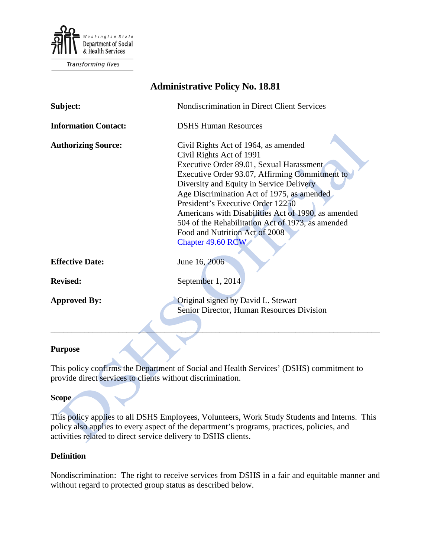

Transforming lives

| <b>Administrative Policy No. 18.81</b> |                                                                                                                                                                                                                                                                                                                                                                                                                                                                  |
|----------------------------------------|------------------------------------------------------------------------------------------------------------------------------------------------------------------------------------------------------------------------------------------------------------------------------------------------------------------------------------------------------------------------------------------------------------------------------------------------------------------|
| Subject:                               | Nondiscrimination in Direct Client Services                                                                                                                                                                                                                                                                                                                                                                                                                      |
| <b>Information Contact:</b>            | <b>DSHS Human Resources</b>                                                                                                                                                                                                                                                                                                                                                                                                                                      |
| <b>Authorizing Source:</b>             | Civil Rights Act of 1964, as amended<br>Civil Rights Act of 1991<br>Executive Order 89.01, Sexual Harassment<br>Executive Order 93.07, Affirming Commitment to<br>Diversity and Equity in Service Delivery<br>Age Discrimination Act of 1975, as amended<br>President's Executive Order 12250<br>Americans with Disabilities Act of 1990, as amended<br>504 of the Rehabilitation Act of 1973, as amended<br>Food and Nutrition Act of 2008<br>Chapter 49.60 RCW |
| <b>Effective Date:</b>                 | June 16, 2006                                                                                                                                                                                                                                                                                                                                                                                                                                                    |
| <b>Revised:</b>                        | September 1, 2014                                                                                                                                                                                                                                                                                                                                                                                                                                                |
| <b>Approved By:</b>                    | Original signed by David L. Stewart<br>Senior Director, Human Resources Division                                                                                                                                                                                                                                                                                                                                                                                 |

## **Purpose**

This policy confirms the Department of Social and Health Services' (DSHS) commitment to provide direct services to clients without discrimination.

## **Scope**

This policy applies to all DSHS Employees, Volunteers, Work Study Students and Interns. This policy also applies to every aspect of the department's programs, practices, policies, and activities related to direct service delivery to DSHS clients.

## **Definition**

Nondiscrimination: The right to receive services from DSHS in a fair and equitable manner and without regard to protected group status as described below.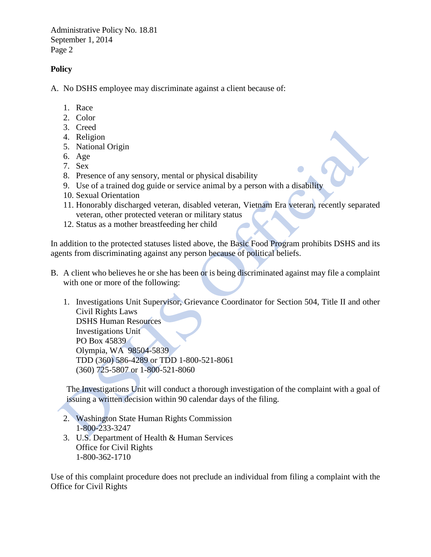Administrative Policy No. 18.81 September 1, 2014 Page 2

## **Policy**

A. No DSHS employee may discriminate against a client because of:

- 1. Race
- 2. Color
- 3. Creed
- 4. Religion
- 5. National Origin
- 6. Age
- 7. Sex
- 8. Presence of any sensory, mental or physical disability
- 9. Use of a trained dog guide or service animal by a person with a disability
- 10. Sexual Orientation
- 11. Honorably discharged veteran, disabled veteran, Vietnam Era veteran, recently separated veteran, other protected veteran or military status
- 12. Status as a mother breastfeeding her child

In addition to the protected statuses listed above, the Basic Food Program prohibits DSHS and its agents from discriminating against any person because of political beliefs.

- B. A client who believes he or she has been or is being discriminated against may file a complaint with one or more of the following:
	- 1. Investigations Unit Supervisor, Grievance Coordinator for Section 504, Title II and other Civil Rights Laws DSHS Human Resources Investigations Unit PO Box 45839 Olympia, WA 98504-5839 TDD (360) 586-4289 or TDD 1-800-521-8061

(360) 725-5807 or 1-800-521-8060

The Investigations Unit will conduct a thorough investigation of the complaint with a goal of issuing a written decision within 90 calendar days of the filing.

- 2. Washington State Human Rights Commission 1-800-233-3247
- 3. U.S. Department of Health & Human Services Office for Civil Rights 1-800-362-1710

Use of this complaint procedure does not preclude an individual from filing a complaint with the Office for Civil Rights